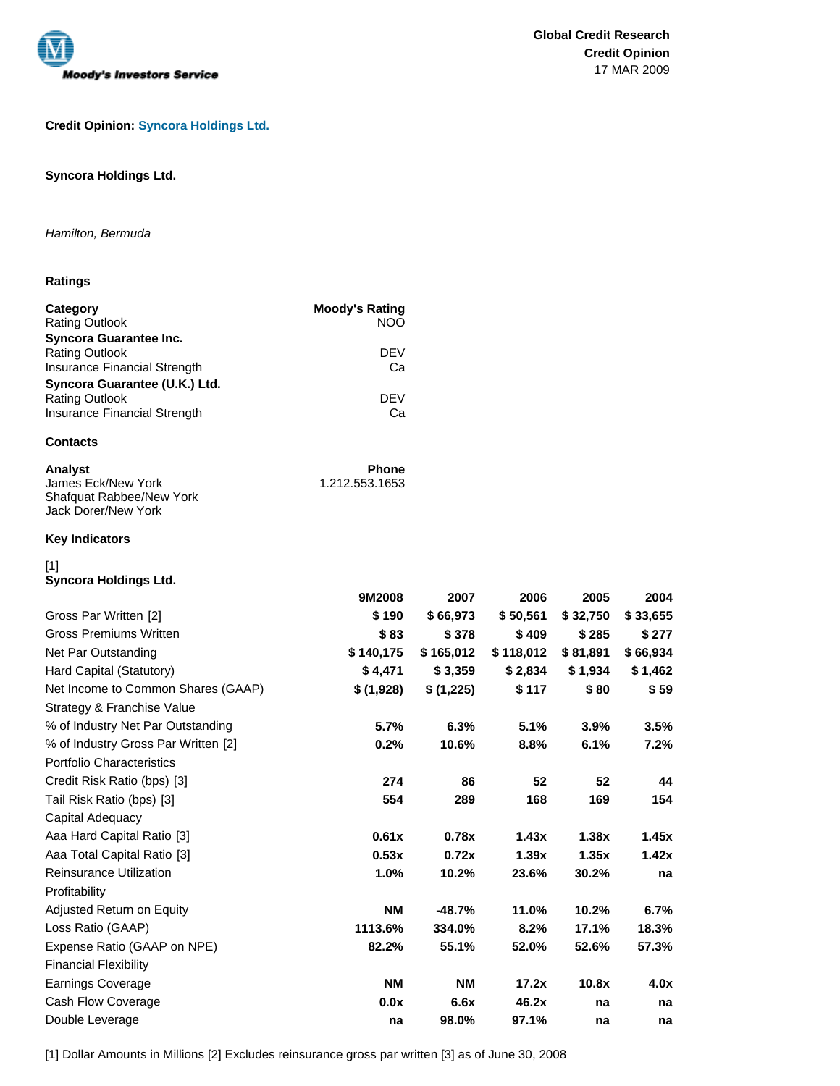

# **Credit Opinion: Syncora Holdings Ltd.**

# **Syncora Holdings Ltd.**

## Hamilton, Bermuda

# **Ratings**

| Category<br><b>Rating Outlook</b> | <b>Moody's Rating</b><br>NOO |
|-----------------------------------|------------------------------|
| <b>Syncora Guarantee Inc.</b>     |                              |
| <b>Rating Outlook</b>             | <b>DEV</b>                   |
| Insurance Financial Strength      | Cа                           |
| Syncora Guarantee (U.K.) Ltd.     |                              |
| <b>Rating Outlook</b>             | <b>DEV</b>                   |
| Insurance Financial Strength      | Cа                           |
|                                   |                              |

# **Contacts**

| Analvst                  | <b>Phone</b>   |
|--------------------------|----------------|
| James Eck/New York       | 1.212.553.1653 |
| Shafquat Rabbee/New York |                |
| Jack Dorer/New York      |                |

### **Key Indicators**

# [1]

**Syncora Holdings Ltd.**

|                                     | 9M2008    | 2007      | 2006      | 2005     | 2004     |
|-------------------------------------|-----------|-----------|-----------|----------|----------|
| Gross Par Written [2]               | \$190     | \$66,973  | \$50,561  | \$32,750 | \$33,655 |
| <b>Gross Premiums Written</b>       | \$83      | \$378     | \$409     | \$285    | \$277    |
| Net Par Outstanding                 | \$140,175 | \$165,012 | \$118,012 | \$81,891 | \$66,934 |
| Hard Capital (Statutory)            | \$4.471   | \$3,359   | \$2.834   | \$1,934  | \$1,462  |
| Net Income to Common Shares (GAAP)  | \$(1,928) | \$(1,225) | \$117     | \$80     | \$59     |
| Strategy & Franchise Value          |           |           |           |          |          |
| % of Industry Net Par Outstanding   | 5.7%      | 6.3%      | 5.1%      | 3.9%     | 3.5%     |
| % of Industry Gross Par Written [2] | 0.2%      | 10.6%     | 8.8%      | 6.1%     | 7.2%     |
| Portfolio Characteristics           |           |           |           |          |          |
| Credit Risk Ratio (bps) [3]         | 274       | 86        | 52        | 52       | 44       |
| Tail Risk Ratio (bps) [3]           | 554       | 289       | 168       | 169      | 154      |
| Capital Adequacy                    |           |           |           |          |          |
| Aaa Hard Capital Ratio [3]          | 0.61x     | 0.78x     | 1.43x     | 1.38x    | 1.45x    |
| Aaa Total Capital Ratio [3]         | 0.53x     | 0.72x     | 1.39x     | 1.35x    | 1.42x    |
| <b>Reinsurance Utilization</b>      | 1.0%      | 10.2%     | 23.6%     | 30.2%    | na       |
| Profitability                       |           |           |           |          |          |
| Adjusted Return on Equity           | <b>NM</b> | $-48.7%$  | 11.0%     | 10.2%    | 6.7%     |
| Loss Ratio (GAAP)                   | 1113.6%   | 334.0%    | 8.2%      | 17.1%    | 18.3%    |
| Expense Ratio (GAAP on NPE)         | 82.2%     | 55.1%     | 52.0%     | 52.6%    | 57.3%    |
| <b>Financial Flexibility</b>        |           |           |           |          |          |
| <b>Earnings Coverage</b>            | <b>NM</b> | <b>NM</b> | 17.2x     | 10.8x    | 4.0x     |
| Cash Flow Coverage                  | 0.0x      | 6.6x      | 46.2x     | na       | na       |
| Double Leverage                     | na        | 98.0%     | 97.1%     | na       | na       |

[1] Dollar Amounts in Millions [2] Excludes reinsurance gross par written [3] as of June 30, 2008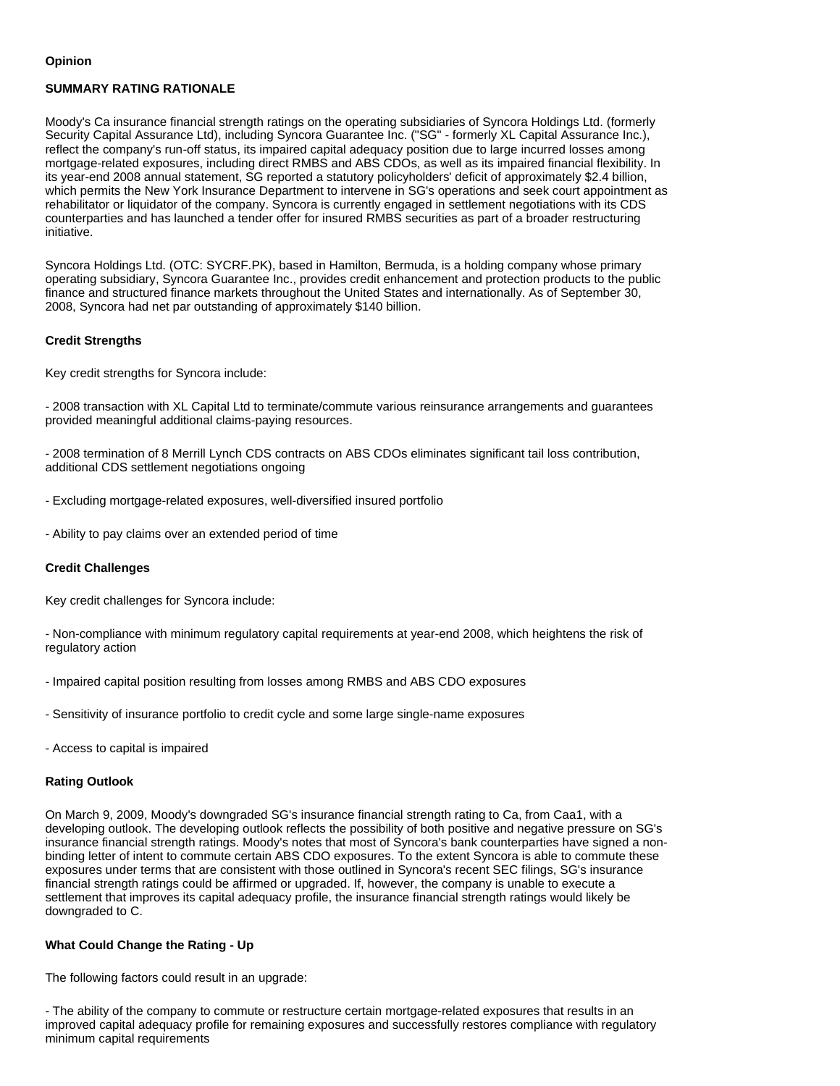#### **Opinion**

# **SUMMARY RATING RATIONALE**

Moody's Ca insurance financial strength ratings on the operating subsidiaries of Syncora Holdings Ltd. (formerly Security Capital Assurance Ltd), including Syncora Guarantee Inc. ("SG" - formerly XL Capital Assurance Inc.), reflect the company's run-off status, its impaired capital adequacy position due to large incurred losses among mortgage-related exposures, including direct RMBS and ABS CDOs, as well as its impaired financial flexibility. In its year-end 2008 annual statement, SG reported a statutory policyholders' deficit of approximately \$2.4 billion, which permits the New York Insurance Department to intervene in SG's operations and seek court appointment as rehabilitator or liquidator of the company. Syncora is currently engaged in settlement negotiations with its CDS counterparties and has launched a tender offer for insured RMBS securities as part of a broader restructuring initiative.

Syncora Holdings Ltd. (OTC: SYCRF.PK), based in Hamilton, Bermuda, is a holding company whose primary operating subsidiary, Syncora Guarantee Inc., provides credit enhancement and protection products to the public finance and structured finance markets throughout the United States and internationally. As of September 30, 2008, Syncora had net par outstanding of approximately \$140 billion.

#### **Credit Strengths**

Key credit strengths for Syncora include:

- 2008 transaction with XL Capital Ltd to terminate/commute various reinsurance arrangements and guarantees provided meaningful additional claims-paying resources.

- 2008 termination of 8 Merrill Lynch CDS contracts on ABS CDOs eliminates significant tail loss contribution, additional CDS settlement negotiations ongoing

- Excluding mortgage-related exposures, well-diversified insured portfolio
- Ability to pay claims over an extended period of time

#### **Credit Challenges**

Key credit challenges for Syncora include:

- Non-compliance with minimum regulatory capital requirements at year-end 2008, which heightens the risk of regulatory action

- Impaired capital position resulting from losses among RMBS and ABS CDO exposures
- Sensitivity of insurance portfolio to credit cycle and some large single-name exposures
- Access to capital is impaired

#### **Rating Outlook**

On March 9, 2009, Moody's downgraded SG's insurance financial strength rating to Ca, from Caa1, with a developing outlook. The developing outlook reflects the possibility of both positive and negative pressure on SG's insurance financial strength ratings. Moody's notes that most of Syncora's bank counterparties have signed a nonbinding letter of intent to commute certain ABS CDO exposures. To the extent Syncora is able to commute these exposures under terms that are consistent with those outlined in Syncora's recent SEC filings, SG's insurance financial strength ratings could be affirmed or upgraded. If, however, the company is unable to execute a settlement that improves its capital adequacy profile, the insurance financial strength ratings would likely be downgraded to C.

#### **What Could Change the Rating - Up**

The following factors could result in an upgrade:

- The ability of the company to commute or restructure certain mortgage-related exposures that results in an improved capital adequacy profile for remaining exposures and successfully restores compliance with regulatory minimum capital requirements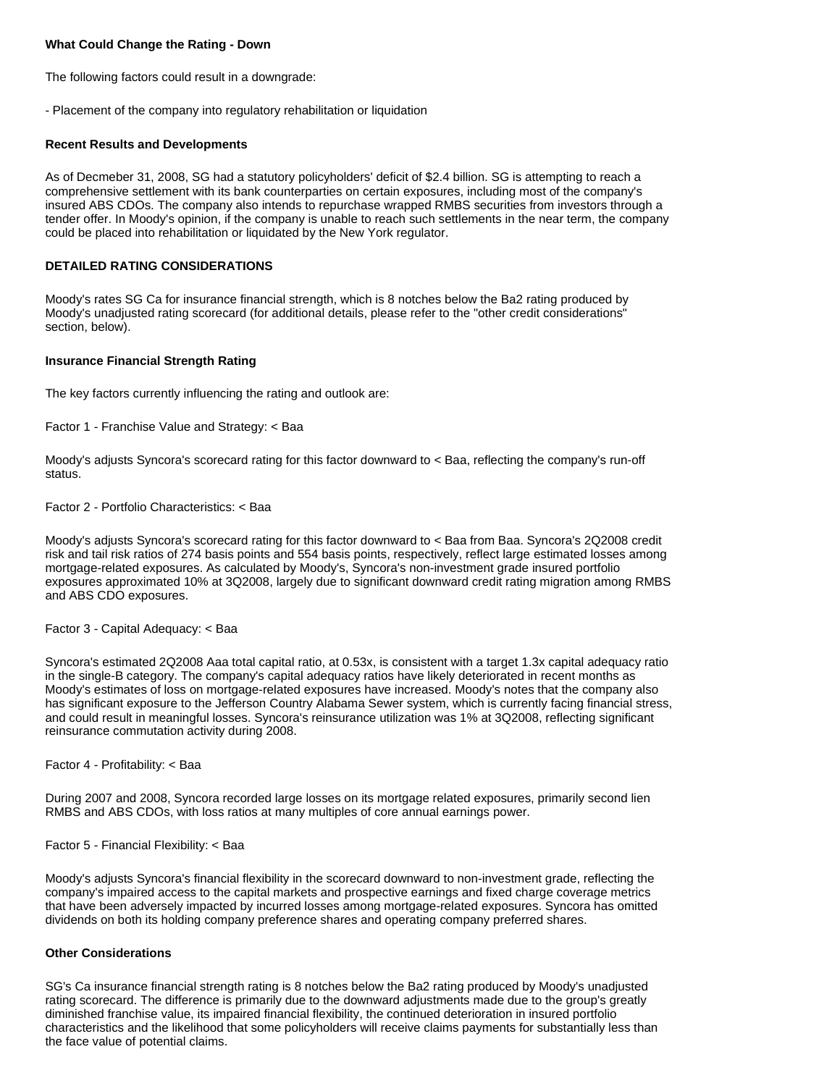# **What Could Change the Rating - Down**

The following factors could result in a downgrade:

- Placement of the company into regulatory rehabilitation or liquidation

### **Recent Results and Developments**

As of Decmeber 31, 2008, SG had a statutory policyholders' deficit of \$2.4 billion. SG is attempting to reach a comprehensive settlement with its bank counterparties on certain exposures, including most of the company's insured ABS CDOs. The company also intends to repurchase wrapped RMBS securities from investors through a tender offer. In Moody's opinion, if the company is unable to reach such settlements in the near term, the company could be placed into rehabilitation or liquidated by the New York regulator.

# **DETAILED RATING CONSIDERATIONS**

Moody's rates SG Ca for insurance financial strength, which is 8 notches below the Ba2 rating produced by Moody's unadjusted rating scorecard (for additional details, please refer to the "other credit considerations" section, below).

### **Insurance Financial Strength Rating**

The key factors currently influencing the rating and outlook are:

Factor 1 - Franchise Value and Strategy: < Baa

Moody's adjusts Syncora's scorecard rating for this factor downward to < Baa, reflecting the company's run-off status.

Factor 2 - Portfolio Characteristics: < Baa

Moody's adjusts Syncora's scorecard rating for this factor downward to < Baa from Baa. Syncora's 2Q2008 credit risk and tail risk ratios of 274 basis points and 554 basis points, respectively, reflect large estimated losses among mortgage-related exposures. As calculated by Moody's, Syncora's non-investment grade insured portfolio exposures approximated 10% at 3Q2008, largely due to significant downward credit rating migration among RMBS and ABS CDO exposures.

Factor 3 - Capital Adequacy: < Baa

Syncora's estimated 2Q2008 Aaa total capital ratio, at 0.53x, is consistent with a target 1.3x capital adequacy ratio in the single-B category. The company's capital adequacy ratios have likely deteriorated in recent months as Moody's estimates of loss on mortgage-related exposures have increased. Moody's notes that the company also has significant exposure to the Jefferson Country Alabama Sewer system, which is currently facing financial stress, and could result in meaningful losses. Syncora's reinsurance utilization was 1% at 3Q2008, reflecting significant reinsurance commutation activity during 2008.

Factor 4 - Profitability: < Baa

During 2007 and 2008, Syncora recorded large losses on its mortgage related exposures, primarily second lien RMBS and ABS CDOs, with loss ratios at many multiples of core annual earnings power.

Factor 5 - Financial Flexibility: < Baa

Moody's adjusts Syncora's financial flexibility in the scorecard downward to non-investment grade, reflecting the company's impaired access to the capital markets and prospective earnings and fixed charge coverage metrics that have been adversely impacted by incurred losses among mortgage-related exposures. Syncora has omitted dividends on both its holding company preference shares and operating company preferred shares.

# **Other Considerations**

SG's Ca insurance financial strength rating is 8 notches below the Ba2 rating produced by Moody's unadjusted rating scorecard. The difference is primarily due to the downward adjustments made due to the group's greatly diminished franchise value, its impaired financial flexibility, the continued deterioration in insured portfolio characteristics and the likelihood that some policyholders will receive claims payments for substantially less than the face value of potential claims.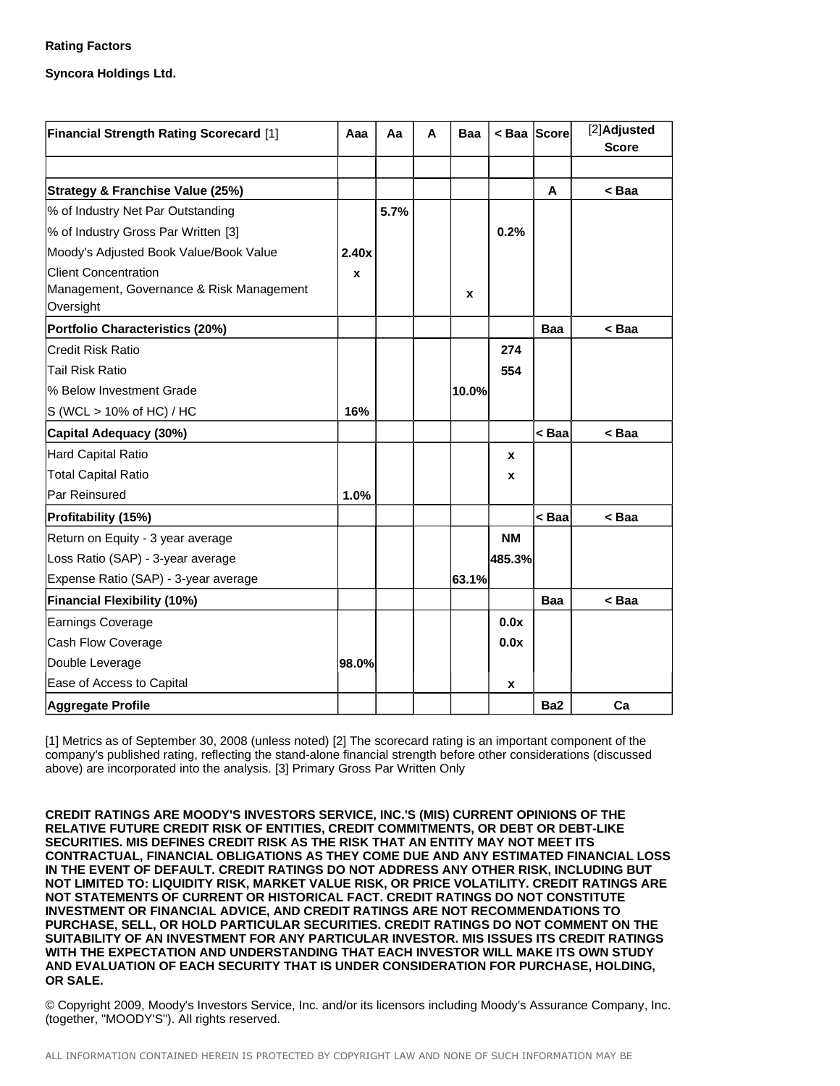# **Rating Factors**

**Syncora Holdings Ltd.**

| <b>Financial Strength Rating Scorecard [1]</b>        | Aaa   | Аа   | A | Baa   | < Baa Score |                                      | [2]Adjusted<br><b>Score</b> |
|-------------------------------------------------------|-------|------|---|-------|-------------|--------------------------------------|-----------------------------|
|                                                       |       |      |   |       |             |                                      |                             |
| Strategy & Franchise Value (25%)                      |       |      |   |       |             | A                                    | < Baa                       |
| % of Industry Net Par Outstanding                     |       | 5.7% |   |       |             |                                      |                             |
| % of Industry Gross Par Written [3]                   |       |      |   |       | 0.2%        |                                      |                             |
| Moody's Adjusted Book Value/Book Value                | 2.40x |      |   |       |             |                                      |                             |
| <b>Client Concentration</b>                           | X     |      |   |       |             |                                      |                             |
| Management, Governance & Risk Management<br>Oversight |       |      |   | X     |             |                                      |                             |
| <b>Portfolio Characteristics (20%)</b>                |       |      |   |       |             | <b>Baa</b>                           | < Baa                       |
| <b>Credit Risk Ratio</b>                              |       |      |   |       | 274         |                                      |                             |
| <b>Tail Risk Ratio</b>                                |       |      |   |       | 554         |                                      |                             |
| % Below Investment Grade                              |       |      |   | 10.0% |             |                                      |                             |
| S (WCL > 10% of HC) / HC                              | 16%   |      |   |       |             |                                      |                             |
| Capital Adequacy (30%)                                |       |      |   |       |             | < Baa                                | <baa< td=""></baa<>         |
| Hard Capital Ratio                                    |       |      |   |       | X           |                                      |                             |
| <b>Total Capital Ratio</b>                            |       |      |   |       | x           |                                      |                             |
| Par Reinsured                                         | 1.0%  |      |   |       |             |                                      |                             |
| Profitability (15%)                                   |       |      |   |       |             | <baa< td=""><td>&lt; Baa</td></baa<> | < Baa                       |
| Return on Equity - 3 year average                     |       |      |   |       | NΜ          |                                      |                             |
| Loss Ratio (SAP) - 3-year average                     |       |      |   |       | 485.3%      |                                      |                             |
| Expense Ratio (SAP) - 3-year average                  |       |      |   | 63.1% |             |                                      |                             |
| <b>Financial Flexibility (10%)</b>                    |       |      |   |       |             | <b>Baa</b>                           | < Baa                       |
| Earnings Coverage                                     |       |      |   |       | 0.0x        |                                      |                             |
| Cash Flow Coverage                                    |       |      |   |       | 0.0x        |                                      |                             |
| Double Leverage                                       | 98.0% |      |   |       |             |                                      |                             |
| Ease of Access to Capital                             |       |      |   |       | x           |                                      |                             |
| Aggregate Profile                                     |       |      |   |       |             | Ba <sub>2</sub>                      | Ca                          |

[1] Metrics as of September 30, 2008 (unless noted) [2] The scorecard rating is an important component of the company's published rating, reflecting the stand-alone financial strength before other considerations (discussed above) are incorporated into the analysis. [3] Primary Gross Par Written Only

**CREDIT RATINGS ARE MOODY'S INVESTORS SERVICE, INC.'S (MIS) CURRENT OPINIONS OF THE RELATIVE FUTURE CREDIT RISK OF ENTITIES, CREDIT COMMITMENTS, OR DEBT OR DEBT-LIKE SECURITIES. MIS DEFINES CREDIT RISK AS THE RISK THAT AN ENTITY MAY NOT MEET ITS CONTRACTUAL, FINANCIAL OBLIGATIONS AS THEY COME DUE AND ANY ESTIMATED FINANCIAL LOSS IN THE EVENT OF DEFAULT. CREDIT RATINGS DO NOT ADDRESS ANY OTHER RISK, INCLUDING BUT NOT LIMITED TO: LIQUIDITY RISK, MARKET VALUE RISK, OR PRICE VOLATILITY. CREDIT RATINGS ARE NOT STATEMENTS OF CURRENT OR HISTORICAL FACT. CREDIT RATINGS DO NOT CONSTITUTE INVESTMENT OR FINANCIAL ADVICE, AND CREDIT RATINGS ARE NOT RECOMMENDATIONS TO PURCHASE, SELL, OR HOLD PARTICULAR SECURITIES. CREDIT RATINGS DO NOT COMMENT ON THE SUITABILITY OF AN INVESTMENT FOR ANY PARTICULAR INVESTOR. MIS ISSUES ITS CREDIT RATINGS WITH THE EXPECTATION AND UNDERSTANDING THAT EACH INVESTOR WILL MAKE ITS OWN STUDY AND EVALUATION OF EACH SECURITY THAT IS UNDER CONSIDERATION FOR PURCHASE, HOLDING, OR SALE.**

© Copyright 2009, Moody's Investors Service, Inc. and/or its licensors including Moody's Assurance Company, Inc. (together, "MOODY'S"). All rights reserved.